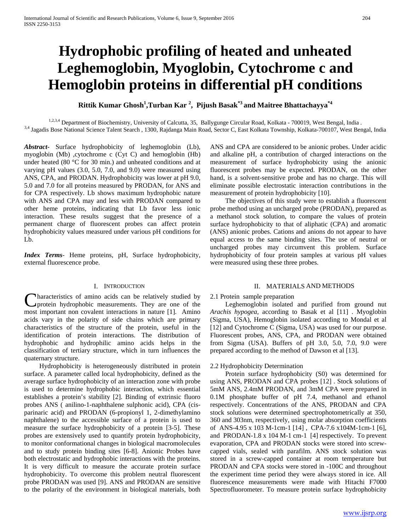# **Hydrophobic profiling of heated and unheated Leghemoglobin, Myoglobin, Cytochrome c and Hemoglobin proteins in differential pH conditions**

**Rittik Kumar Ghosh<sup>1</sup> ,Turban Kar <sup>2</sup> , Pijush Basak\*3 and Maitree Bhattachayya\*4** 

1,2,3,4 Department of Biochemistry, University of Calcutta, 35, Ballygunge Circular Road, Kolkata - 700019, West Bengal, India. <sup>3,4</sup> Jagadis Bose National Science Talent Search, 1300, Rajdanga Main Road, Sector C, East Kolkata Township, Kolkata-700107, West Bengal, India

*Abstract***-** Surface hydrophobicity of leghemoglobin (Lb), myoglobin (Mb) ,cytochrome c (Cyt C) and hemoglobin (Hb) under heated (80 °C for 30 min.) and unheated conditions and at varying pH values (3.0, 5.0, 7.0, and 9.0) were measured using ANS, CPA, and PRODAN. Hydrophobicity was lower at pH 9.0, 5.0 and 7.0 for all proteins measured by PRODAN, for ANS and for CPA respectively. Lb shows maximum hydrophobic nature with ANS and CPA may and less with PRODAN compared to other heme proteins, indicating that Lb favor less ionic interaction. These results suggest that the presence of a permanent charge of fluorescent probes can affect protein hydrophobicity values measured under various pH conditions for Lb.

*Index Terms*- Heme proteins, pH, Surface hydrophobicity, external fluorescence probe.

## I. INTRODUCTION

haracteristics of amino acids can be relatively studied by protein hydrophobic measurements. They are one of the **C**haracteristics of amino acids can be relatively studied by protein hydrophobic measurements. They are one of the most important non covalent interactions in nature [1]. Amino acids vary in the polarity of side chains which are primary characteristics of the structure of the protein, useful in the identification of protein interactions. The distribution of hydrophobic and hydrophilic amino acids helps in the classification of tertiary structure, which in turn influences the quaternary structure.

 Hydrophobicity is heterogeneously distributed in protein surface. A parameter called local hydrophobicity, defined as the average surface hydrophobicity of an interaction zone with probe is used to determine hydrophobic interaction, which essential establishes a protein's stability [2]. Binding of extrinsic fluoro probes ANS ( anilino-1-naphthalene sulphonic acid), CPA (cisparinaric acid) and PRODAN (6-propionyl 1, 2-dimethylamino naphthalene) to the accessible surface of a protein is used to measure the surface hydrophobicity of a protein [3-5]. These probes are extensively used to quantify protein hydrophobicity, to monitor conformational changes in biological macromolecules and to study protein binding sites [6-8]. Anionic Probes have both electrostatic and hydrophobic interactions with the proteins. It is very difficult to measure the accurate protein surface hydrophobicity. To overcome this problem neutral fluorescent probe PRODAN was used [9]. ANS and PRODAN are sensitive to the polarity of the environment in biological materials, both

ANS and CPA are considered to be anionic probes. Under acidic and alkaline pH, a contribution of charged interactions on the measurement of surface hydrophobicity using the anionic fluorescent probes may be expected. PRODAN, on the other hand, is a solvent-sensitive probe and has no charge. This will eliminate possible electrostatic interaction contributions in the measurement of protein hydrophobicity [10].

 The objectives of this study were to establish a fluorescent probe method using an uncharged probe (PRODAN), prepared as a methanol stock solution, to compare the values of protein surface hydrophobicity to that of aliphatic (CPA) and aromatic (ANS) anionic probes. Cations and anions do not appear to have equal access to the same binding sites. The use of neutral or uncharged probes may circumvent this problem. Surface hydrophobicity of four protein samples at various pH values were measured using these three probes.

## II. MATERIALS AND METHODS

## 2.1 Protein sample preparation

 Leghemoglobin isolated and purified from ground nut *Arachis hypogea,* according to Basak et al [11] . Myoglobin (Sigma, USA), Hemoglobin isolated according to Mondal et al [12] and Cytochrome C (Sigma, USA) was used for our purpose. Fluorescent probes, ANS, CPA, and PRODAN were obtained from Sigma (USA). Buffers of pH 3.0, 5.0, 7.0, 9.0 were prepared according to the method of Dawson et al [13].

## 2.2 Hydrophobicity Determination

 Protein surface hydrophobicity (S0) was determined for using ANS, PRODAN and CPA probes [12] . Stock solutions of 5mM ANS, 2.4mM PRODAN, and 3mM CPA were prepared in 0.1M phosphate buffer of pH 7.4, methanol and ethanol respectively. Concentrations of the ANS, PRODAN and CPA stock solutions were determined spectrophotometrically at 350, 360 and 303nm, respectively, using molar absorption coefficients of ANS-4.95 x 103 M-1cm-1 [14] , CPA-7.6 x104M-1cm-1 [6], and PRODAN-1.8 x 104 M-1 cm-1 [4] respectively. To prevent evaporation, CPA and PRODAN stocks were stored into screwcapped vials, sealed with parafilm. ANS stock solution was stored in a screw-capped container at room temperature but PRODAN and CPA stocks were stored in -100C and throughout the experiment time period they were always stored in ice. All fluorescence measurements were made with Hitachi F7000 Spectrofluorometer. To measure protein surface hydrophobicity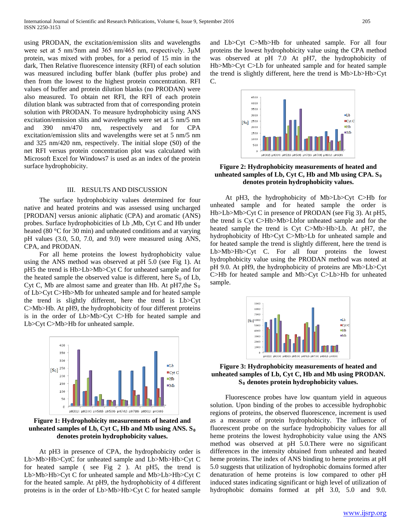using PRODAN, the excitation/emission slits and wavelengths were set at 5 nm/5nm and 365 nm/465 nm, respectively. 3μM protein, was mixed with probes, for a period of 15 min in the dark, Then Relative fluorescence intensity (RFI) of each solution was measured including buffer blank (buffer plus probe) and then from the lowest to the highest protein concentration. RFI values of buffer and protein dilution blanks (no PRODAN) were also measured. To obtain net RFI, the RFI of each protein dilution blank was subtracted from that of corresponding protein solution with PRODAN. To measure hydrophobicity using ANS excitation/emission slits and wavelengths were set at 5 nm/5 nm and 390 nm/470 nm, respectively and for CPA excitation/emission slits and wavelengths were set at 5 nm/5 nm and 325 nm/420 nm, respectively. The initial slope (S0) of the net RFI versus protein concentration plot was calculated with Microsoft Excel for Windows7 is used as an index of the protein surface hydrophobicity.

## III. RESULTS AND DISCUSSION

 The surface hydrophobicity values determined for four native and heated proteins and was assessed using uncharged [PRODAN] versus anionic aliphatic (CPA) and aromatic (ANS) probes. Surface hydrophobicities of Lb ,Mb, Cyt C and Hb under heated (80 °C for 30 min) and unheated conditions and at varying pH values (3.0, 5.0, 7.0, and 9.0) were measured using ANS, CPA, and PRODAN.

 For all heme proteins the lowest hydrophobicity value using the ANS method was observed at pH 5.0 (see Fig 1). At pH5 the trend is Hb>Lb>Mb>Cyt C for unheated sample and for the heated sample the observed value is different, here  $S_0$  of Lb, Cyt C, Mb are almost same and greater than Hb. At  $pH7,$ the S<sub>0</sub> of Lb>Cyt C>Hb>Mb for unheated sample and for heated sample the trend is slightly different, here the trend is Lb>Cyt C>Mb>Hb. At pH9, the hydrophobicity of four different proteins is in the order of Lb>Mb>Cyt C>Hb for heated sample and Lb>Cyt C>Mb>Hb for unheated sample.



**Figure 1: Hydrophobicity measurements of heated and**  unheated samples of Lb, Cyt C, Hb and Mb using  $ANSS<sub>0</sub>$ **denotes protein hydrophobicity values.**

 At pH3 in presence of CPA, the hydrophobicity order is Lb>Mb>Hb>CytC for unheated sample and Lb>Mb>Hb>Cyt C for heated sample ( see Fig 2 ). At pH5, the trend is Lb>Mb>Hb>Cyt C for unheated sample and Mb>Lb>Hb>Cyt C for the heated sample. At pH9, the hydrophobicity of 4 different proteins is in the order of Lb>Mb>Hb>Cyt C for heated sample and Lb>Cyt C>Mb>Hb for unheated sample. For all four proteins the lowest hydrophobicity value using the CPA method was observed at pH 7.0 At pH7, the hydrophobicity of Hb>Mb>Cyt C>Lb for unheated sample and for heated sample the trend is slightly different, here the trend is Mb>Lb>Hb>Cyt C.



**Figure 2: Hydrophobicity measurements of heated and**  unheated samples of Lb, Cyt C, Hb and Mb using  $CPA$ . S<sub>0</sub> **denotes protein hydrophobicity values.**

 At pH3, the hydrophobicity of Mb>Lb>Cyt C>Hb for unheated sample and for heated sample the order is Hb>Lb>Mb>Cyt C in presence of PRODAN (see Fig 3). At pH5, the trend is Cyt C>Hb>Mb>Lbfor unheated sample and for the heated sample the trend is Cyt C>Mb>Hb>Lb. At pH7, the hydrophobicity of Hb>Cyt C>Mb>Lb for unheated sample and for heated sample the trend is slightly different, here the trend is Lb>Mb>Hb>Cyt C. For all four proteins the lowest hydrophobicity value using the PRODAN method was noted at pH 9.0. At pH9, the hydrophobicity of proteins are Mb>Lb>Cyt C>Hb for heated sample and Mb>Cyt C>Lb>Hb for unheated sample.



# **Figure 3: Hydrophobicity measurements of heated and unheated samples of Lb, Cyt C, Hb and Mb using PRODAN. S0 denotes protein hydrophobicity values.**

 Fluorescence probes have low quantum yield in aqueous solution. Upon binding of the probes to accessible hydrophobic regions of proteins, the observed fluorescence, increment is used as a measure of protein hydrophobicity. The influence of fluorescent probe on the surface hydrophobicity values for all heme proteins the lowest hydrophobicity value using the ANS method was observed at pH 5.0.There were no significant differences in the intensity obtained from unheated and heated heme proteins. The index of ANS binding to heme proteins at pH 5.0 suggests that utilization of hydrophobic domains formed after denaturation of heme proteins is low compared to other pH induced states indicating significant or high level of utilization of hydrophobic domains formed at pH 3.0, 5.0 and 9.0.